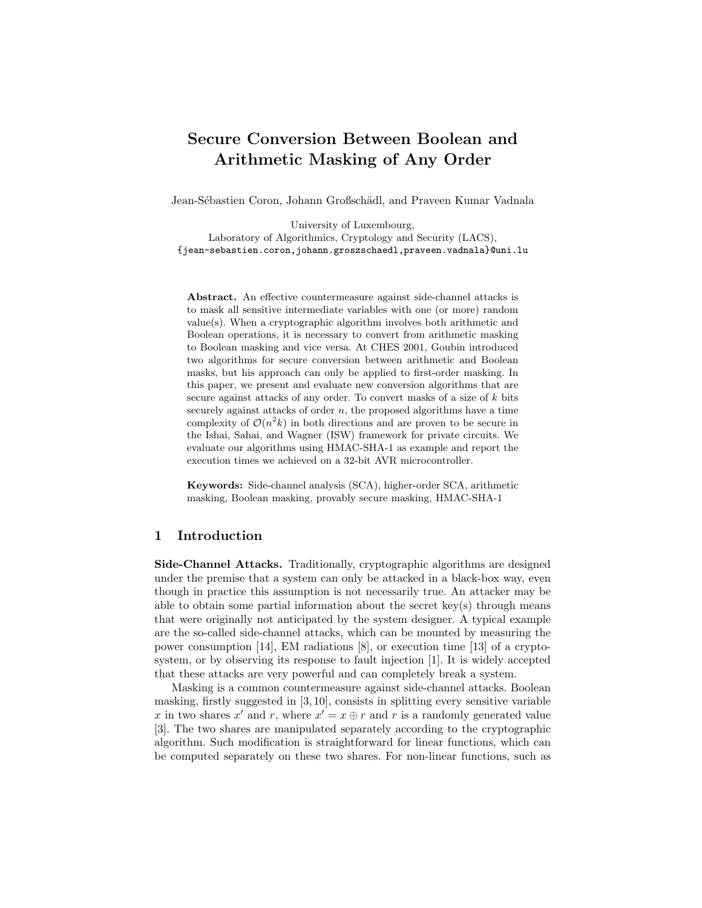# Secure Conversion Between Boolean and Arithmetic Masking of Any Order

Jean-Sébastien Coron, Johann Großschädl, and Praveen Kumar Vadnala

University of Luxembourg, Laboratory of Algorithmics, Cryptology and Security (LACS), {jean-sebastien.coron,johann.groszschaedl,praveen.vadnala}@uni.lu

Abstract. An effective countermeasure against side-channel attacks is to mask all sensitive intermediate variables with one (or more) random value(s). When a cryptographic algorithm involves both arithmetic and Boolean operations, it is necessary to convert from arithmetic masking to Boolean masking and vice versa. At CHES 2001, Goubin introduced two algorithms for secure conversion between arithmetic and Boolean masks, but his approach can only be applied to first-order masking. In this paper, we present and evaluate new conversion algorithms that are secure against attacks of any order. To convert masks of a size of  $k$  bits securely against attacks of order  $n$ , the proposed algorithms have a time complexity of  $\mathcal{O}(n^2k)$  in both directions and are proven to be secure in the Ishai, Sahai, and Wagner (ISW) framework for private circuits. We evaluate our algorithms using HMAC-SHA-1 as example and report the execution times we achieved on a 32-bit AVR microcontroller.

Keywords: Side-channel analysis (SCA), higher-order SCA, arithmetic masking, Boolean masking, provably secure masking, HMAC-SHA-1

# 1 Introduction

Side-Channel Attacks. Traditionally, cryptographic algorithms are designed under the premise that a system can only be attacked in a black-box way, even though in practice this assumption is not necessarily true. An attacker may be able to obtain some partial information about the secret key(s) through means that were originally not anticipated by the system designer. A typical example are the so-called side-channel attacks, which can be mounted by measuring the power consumption [14], EM radiations [8], or execution time [13] of a cryptosystem, or by observing its response to fault injection [1]. It is widely accepted that these attacks are very powerful and can completely break a system.

Masking is a common countermeasure against side-channel attacks. Boolean masking, firstly suggested in [3, 10], consists in splitting every sensitive variable x in two shares x' and r, where  $x' = x \oplus r$  and r is a randomly generated value [3]. The two shares are manipulated separately according to the cryptographic algorithm. Such modification is straightforward for linear functions, which can be computed separately on these two shares. For non-linear functions, such as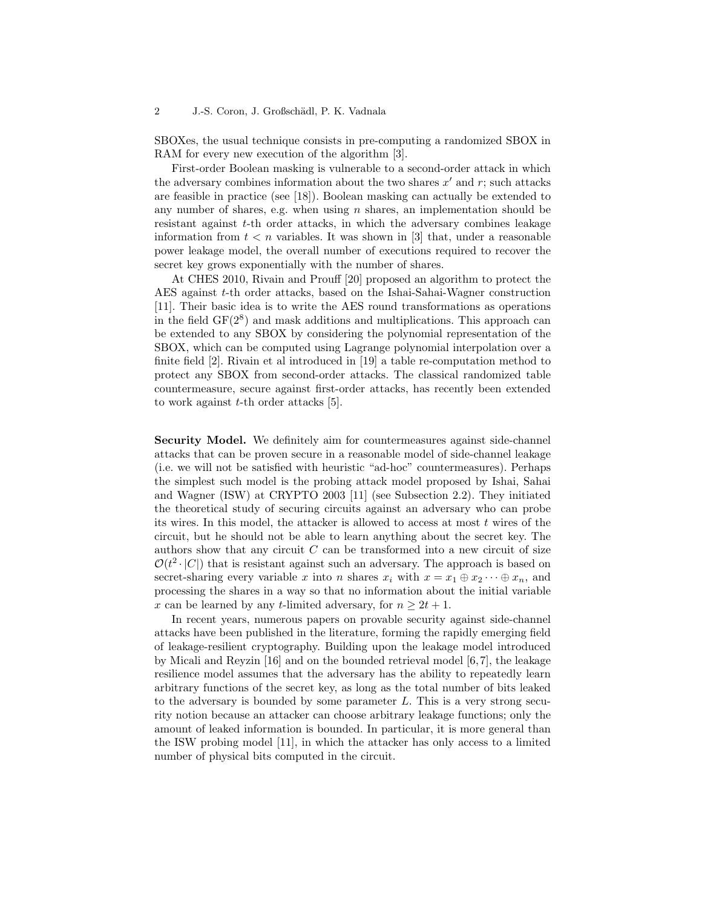SBOXes, the usual technique consists in pre-computing a randomized SBOX in RAM for every new execution of the algorithm [3].

First-order Boolean masking is vulnerable to a second-order attack in which the adversary combines information about the two shares  $x'$  and  $r$ ; such attacks are feasible in practice (see [18]). Boolean masking can actually be extended to any number of shares, e.g. when using  $n$  shares, an implementation should be resistant against t-th order attacks, in which the adversary combines leakage information from  $t < n$  variables. It was shown in [3] that, under a reasonable power leakage model, the overall number of executions required to recover the secret key grows exponentially with the number of shares.

At CHES 2010, Rivain and Prouff [20] proposed an algorithm to protect the AES against t-th order attacks, based on the Ishai-Sahai-Wagner construction [11]. Their basic idea is to write the AES round transformations as operations in the field  $GF(2<sup>8</sup>)$  and mask additions and multiplications. This approach can be extended to any SBOX by considering the polynomial representation of the SBOX, which can be computed using Lagrange polynomial interpolation over a finite field [2]. Rivain et al introduced in [19] a table re-computation method to protect any SBOX from second-order attacks. The classical randomized table countermeasure, secure against first-order attacks, has recently been extended to work against  $t$ -th order attacks [5].

Security Model. We definitely aim for countermeasures against side-channel attacks that can be proven secure in a reasonable model of side-channel leakage (i.e. we will not be satisfied with heuristic "ad-hoc" countermeasures). Perhaps the simplest such model is the probing attack model proposed by Ishai, Sahai and Wagner (ISW) at CRYPTO 2003 [11] (see Subsection 2.2). They initiated the theoretical study of securing circuits against an adversary who can probe its wires. In this model, the attacker is allowed to access at most  $t$  wires of the circuit, but he should not be able to learn anything about the secret key. The authors show that any circuit  $C$  can be transformed into a new circuit of size  $\mathcal{O}(t^2 \cdot |C|)$  that is resistant against such an adversary. The approach is based on secret-sharing every variable x into n shares  $x_i$  with  $x = x_1 \oplus x_2 \cdots \oplus x_n$ , and processing the shares in a way so that no information about the initial variable x can be learned by any t-limited adversary, for  $n \geq 2t + 1$ .

In recent years, numerous papers on provable security against side-channel attacks have been published in the literature, forming the rapidly emerging field of leakage-resilient cryptography. Building upon the leakage model introduced by Micali and Reyzin [16] and on the bounded retrieval model [6, 7], the leakage resilience model assumes that the adversary has the ability to repeatedly learn arbitrary functions of the secret key, as long as the total number of bits leaked to the adversary is bounded by some parameter L. This is a very strong security notion because an attacker can choose arbitrary leakage functions; only the amount of leaked information is bounded. In particular, it is more general than the ISW probing model [11], in which the attacker has only access to a limited number of physical bits computed in the circuit.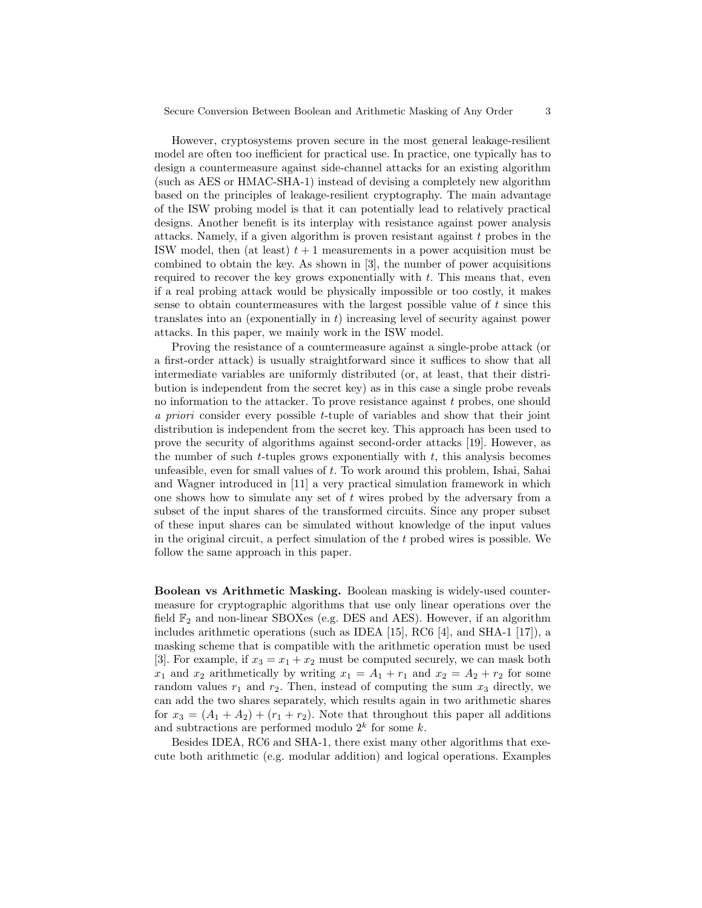However, cryptosystems proven secure in the most general leakage-resilient model are often too inefficient for practical use. In practice, one typically has to design a countermeasure against side-channel attacks for an existing algorithm (such as AES or HMAC-SHA-1) instead of devising a completely new algorithm based on the principles of leakage-resilient cryptography. The main advantage of the ISW probing model is that it can potentially lead to relatively practical designs. Another benefit is its interplay with resistance against power analysis attacks. Namely, if a given algorithm is proven resistant against t probes in the ISW model, then (at least)  $t + 1$  measurements in a power acquisition must be combined to obtain the key. As shown in [3], the number of power acquisitions required to recover the key grows exponentially with  $t$ . This means that, even if a real probing attack would be physically impossible or too costly, it makes sense to obtain countermeasures with the largest possible value of t since this translates into an (exponentially in  $t$ ) increasing level of security against power attacks. In this paper, we mainly work in the ISW model.

Proving the resistance of a countermeasure against a single-probe attack (or a first-order attack) is usually straightforward since it suffices to show that all intermediate variables are uniformly distributed (or, at least, that their distribution is independent from the secret key) as in this case a single probe reveals no information to the attacker. To prove resistance against  $t$  probes, one should a priori consider every possible t-tuple of variables and show that their joint distribution is independent from the secret key. This approach has been used to prove the security of algorithms against second-order attacks [19]. However, as the number of such  $t$ -tuples grows exponentially with  $t$ , this analysis becomes unfeasible, even for small values of t. To work around this problem, Ishai, Sahai and Wagner introduced in [11] a very practical simulation framework in which one shows how to simulate any set of  $t$  wires probed by the adversary from a subset of the input shares of the transformed circuits. Since any proper subset of these input shares can be simulated without knowledge of the input values in the original circuit, a perfect simulation of the t probed wires is possible. We follow the same approach in this paper.

Boolean vs Arithmetic Masking. Boolean masking is widely-used countermeasure for cryptographic algorithms that use only linear operations over the field  $\mathbb{F}_2$  and non-linear SBOXes (e.g. DES and AES). However, if an algorithm includes arithmetic operations (such as IDEA [15], RC6 [4], and SHA-1 [17]), a masking scheme that is compatible with the arithmetic operation must be used [3]. For example, if  $x_3 = x_1 + x_2$  must be computed securely, we can mask both  $x_1$  and  $x_2$  arithmetically by writing  $x_1 = A_1 + r_1$  and  $x_2 = A_2 + r_2$  for some random values  $r_1$  and  $r_2$ . Then, instead of computing the sum  $x_3$  directly, we can add the two shares separately, which results again in two arithmetic shares for  $x_3 = (A_1 + A_2) + (r_1 + r_2)$ . Note that throughout this paper all additions and subtractions are performed modulo  $2^k$  for some k.

Besides IDEA, RC6 and SHA-1, there exist many other algorithms that execute both arithmetic (e.g. modular addition) and logical operations. Examples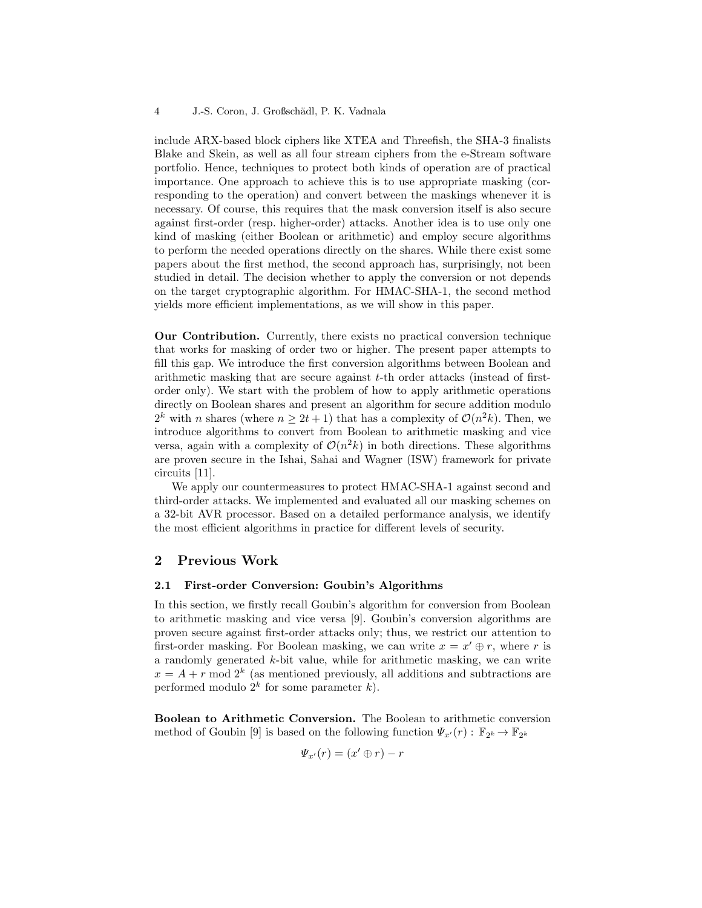include ARX-based block ciphers like XTEA and Threefish, the SHA-3 finalists Blake and Skein, as well as all four stream ciphers from the e-Stream software portfolio. Hence, techniques to protect both kinds of operation are of practical importance. One approach to achieve this is to use appropriate masking (corresponding to the operation) and convert between the maskings whenever it is necessary. Of course, this requires that the mask conversion itself is also secure against first-order (resp. higher-order) attacks. Another idea is to use only one kind of masking (either Boolean or arithmetic) and employ secure algorithms to perform the needed operations directly on the shares. While there exist some papers about the first method, the second approach has, surprisingly, not been studied in detail. The decision whether to apply the conversion or not depends on the target cryptographic algorithm. For HMAC-SHA-1, the second method yields more efficient implementations, as we will show in this paper.

Our Contribution. Currently, there exists no practical conversion technique that works for masking of order two or higher. The present paper attempts to fill this gap. We introduce the first conversion algorithms between Boolean and arithmetic masking that are secure against t-th order attacks (instead of firstorder only). We start with the problem of how to apply arithmetic operations directly on Boolean shares and present an algorithm for secure addition modulo  $2^k$  with *n* shares (where  $n \geq 2t+1$ ) that has a complexity of  $\mathcal{O}(n^2k)$ . Then, we introduce algorithms to convert from Boolean to arithmetic masking and vice versa, again with a complexity of  $\mathcal{O}(n^2k)$  in both directions. These algorithms are proven secure in the Ishai, Sahai and Wagner (ISW) framework for private circuits [11].

We apply our countermeasures to protect HMAC-SHA-1 against second and third-order attacks. We implemented and evaluated all our masking schemes on a 32-bit AVR processor. Based on a detailed performance analysis, we identify the most efficient algorithms in practice for different levels of security.

# 2 Previous Work

#### 2.1 First-order Conversion: Goubin's Algorithms

In this section, we firstly recall Goubin's algorithm for conversion from Boolean to arithmetic masking and vice versa [9]. Goubin's conversion algorithms are proven secure against first-order attacks only; thus, we restrict our attention to first-order masking. For Boolean masking, we can write  $x = x' \oplus r$ , where r is a randomly generated k-bit value, while for arithmetic masking, we can write  $x = A + r \mod 2^k$  (as mentioned previously, all additions and subtractions are performed modulo  $2^k$  for some parameter k).

Boolean to Arithmetic Conversion. The Boolean to arithmetic conversion method of Goubin [9] is based on the following function  $\Psi_{x'}(r) : \mathbb{F}_{2^k} \to \mathbb{F}_{2^k}$ 

$$
\Psi_{x'}(r) = (x' \oplus r) - r
$$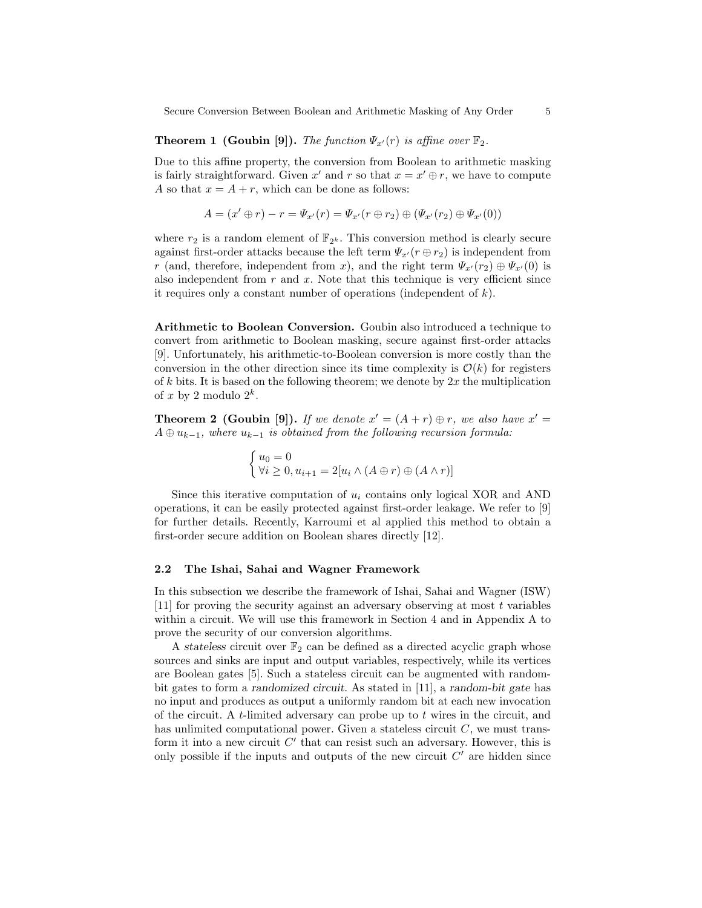Secure Conversion Between Boolean and Arithmetic Masking of Any Order 5

**Theorem 1 (Goubin [9]).** The function  $\Psi_{x'}(r)$  is affine over  $\mathbb{F}_2$ .

Due to this affine property, the conversion from Boolean to arithmetic masking is fairly straightforward. Given x' and r so that  $x = x' \oplus r$ , we have to compute A so that  $x = A + r$ , which can be done as follows:

$$
A = (x' \oplus r) - r = \Psi_{x'}(r) = \Psi_{x'}(r \oplus r_2) \oplus (\Psi_{x'}(r_2) \oplus \Psi_{x'}(0))
$$

where  $r_2$  is a random element of  $\mathbb{F}_{2^k}$ . This conversion method is clearly secure against first-order attacks because the left term  $\Psi_{x'}(r \oplus r_2)$  is independent from r (and, therefore, independent from x), and the right term  $\Psi_{x'}(r_2) \oplus \Psi_{x'}(0)$  is also independent from  $r$  and  $x$ . Note that this technique is very efficient since it requires only a constant number of operations (independent of k).

Arithmetic to Boolean Conversion. Goubin also introduced a technique to convert from arithmetic to Boolean masking, secure against first-order attacks [9]. Unfortunately, his arithmetic-to-Boolean conversion is more costly than the conversion in the other direction since its time complexity is  $\mathcal{O}(k)$  for registers of k bits. It is based on the following theorem; we denote by  $2x$  the multiplication of x by 2 modulo  $2^k$ .

**Theorem 2 (Goubin [9]).** If we denote  $x' = (A + r) \oplus r$ , we also have  $x' =$  $A \oplus u_{k-1}$ , where  $u_{k-1}$  is obtained from the following recursion formula:

$$
\begin{cases} u_0 = 0 \\ \forall i \ge 0, u_{i+1} = 2[u_i \wedge (A \oplus r) \oplus (A \wedge r)] \end{cases}
$$

Since this iterative computation of  $u_i$  contains only logical XOR and AND operations, it can be easily protected against first-order leakage. We refer to [9] for further details. Recently, Karroumi et al applied this method to obtain a first-order secure addition on Boolean shares directly [12].

#### 2.2 The Ishai, Sahai and Wagner Framework

In this subsection we describe the framework of Ishai, Sahai and Wagner (ISW) [11] for proving the security against an adversary observing at most t variables within a circuit. We will use this framework in Section 4 and in Appendix A to prove the security of our conversion algorithms.

A stateless circuit over  $\mathbb{F}_2$  can be defined as a directed acyclic graph whose sources and sinks are input and output variables, respectively, while its vertices are Boolean gates [5]. Such a stateless circuit can be augmented with randombit gates to form a randomized circuit. As stated in [11], a random-bit gate has no input and produces as output a uniformly random bit at each new invocation of the circuit. A  $t$ -limited adversary can probe up to  $t$  wires in the circuit, and has unlimited computational power. Given a stateless circuit  $C$ , we must transform it into a new circuit  $C'$  that can resist such an adversary. However, this is only possible if the inputs and outputs of the new circuit  $C'$  are hidden since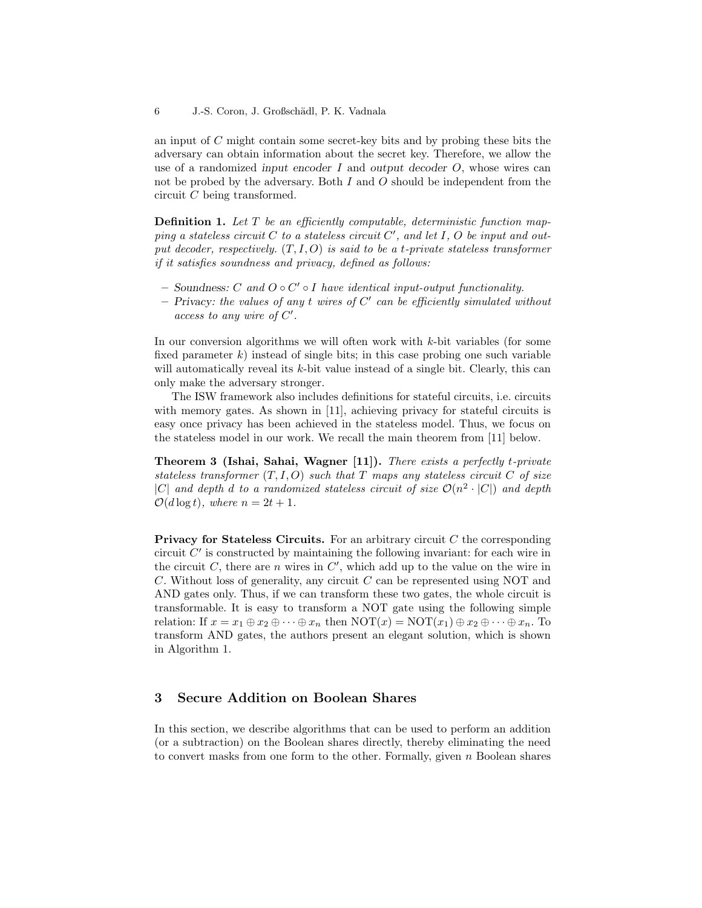an input of C might contain some secret-key bits and by probing these bits the adversary can obtain information about the secret key. Therefore, we allow the use of a randomized input encoder  $I$  and output decoder  $O$ , whose wires can not be probed by the adversary. Both  $I$  and  $O$  should be independent from the circuit C being transformed.

**Definition 1.** Let  $T$  be an efficiently computable, deterministic function mapping a stateless circuit  $C$  to a stateless circuit  $C'$ , and let  $I, O$  be input and output decoder, respectively.  $(T, I, O)$  is said to be a t-private stateless transformer if it satisfies soundness and privacy, defined as follows:

- Soundness:  $C$  and  $O ∘ C' ∘ I$  have identical input-output functionality.
- $-$  Privacy: the values of any t wires of  $C'$  can be efficiently simulated without access to any wire of  $C'$ .

In our conversion algorithms we will often work with  $k$ -bit variables (for some fixed parameter  $k$ ) instead of single bits; in this case probing one such variable will automatically reveal its  $k$ -bit value instead of a single bit. Clearly, this can only make the adversary stronger.

The ISW framework also includes definitions for stateful circuits, i.e. circuits with memory gates. As shown in [11], achieving privacy for stateful circuits is easy once privacy has been achieved in the stateless model. Thus, we focus on the stateless model in our work. We recall the main theorem from [11] below.

Theorem 3 (Ishai, Sahai, Wagner [11]). There exists a perfectly t-private stateless transformer  $(T, I, O)$  such that T maps any stateless circuit C of size |C| and depth d to a randomized stateless circuit of size  $\mathcal{O}(n^2 \cdot |C|)$  and depth  $\mathcal{O}(d \log t)$ , where  $n = 2t + 1$ .

**Privacy for Stateless Circuits.** For an arbitrary circuit  $C$  the corresponding circuit  $C'$  is constructed by maintaining the following invariant: for each wire in the circuit  $C$ , there are n wires in  $C'$ , which add up to the value on the wire in C. Without loss of generality, any circuit C can be represented using NOT and AND gates only. Thus, if we can transform these two gates, the whole circuit is transformable. It is easy to transform a NOT gate using the following simple relation: If  $x = x_1 \oplus x_2 \oplus \cdots \oplus x_n$  then  $\text{NOT}(x) = \text{NOT}(x_1) \oplus x_2 \oplus \cdots \oplus x_n$ . To transform AND gates, the authors present an elegant solution, which is shown in Algorithm 1.

# 3 Secure Addition on Boolean Shares

In this section, we describe algorithms that can be used to perform an addition (or a subtraction) on the Boolean shares directly, thereby eliminating the need to convert masks from one form to the other. Formally, given  $n$  Boolean shares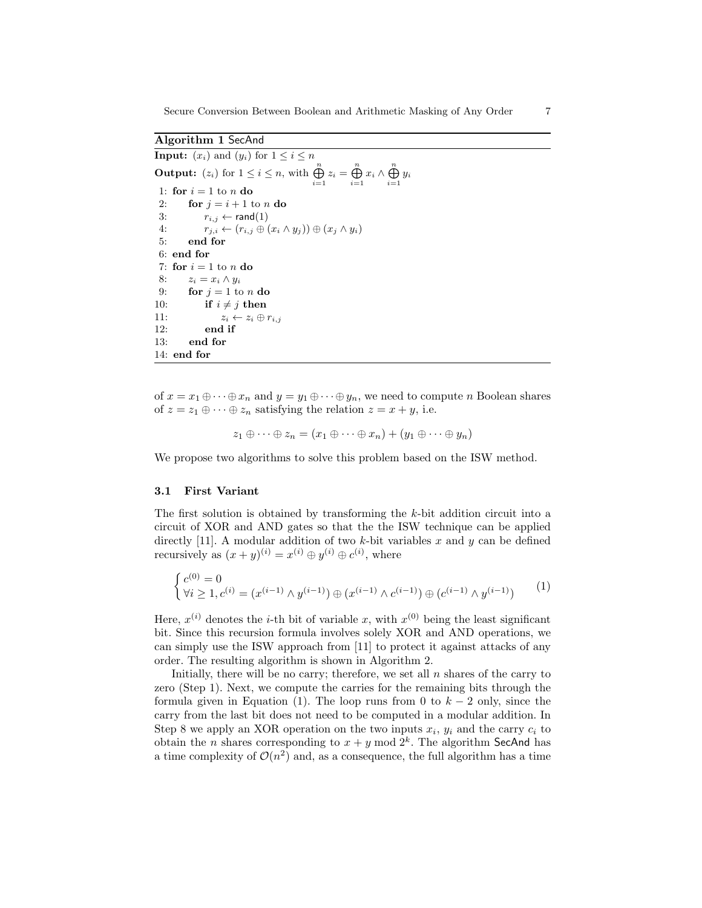Algorithm 1 SecAnd

**Input:**  $(x_i)$  and  $(y_i)$  for  $1 \leq i \leq n$ **Output:**  $(z_i)$  for  $1 \leq i \leq n$ , with  $\bigoplus_{i=1}^{n} z_i = \bigoplus_{i=1}^{n} x_i \wedge \bigoplus_{i=1}^{n} y_i$ 1: for  $i = 1$  to n do 2: for  $j = i + 1$  to n do 3:  $r_{i,j} \leftarrow \text{rand}(1)$ 4:  $r_{j,i} \leftarrow (r_{i,j} \oplus (x_i \wedge y_j)) \oplus (x_j \wedge y_i)$ 5: end for 6: end for 7: for  $i = 1$  to n do 8:  $z_i = x_i \wedge y_i$ 9: for  $j = 1$  to n do 10: if  $i \neq j$  then 11:  $z_i \leftarrow z_i \oplus r_{i,j}$ 12: end if 13: end for 14: end for

of  $x = x_1 \oplus \cdots \oplus x_n$  and  $y = y_1 \oplus \cdots \oplus y_n$ , we need to compute n Boolean shares of  $z = z_1 \oplus \cdots \oplus z_n$  satisfying the relation  $z = x + y$ , i.e.

$$
z_1 \oplus \cdots \oplus z_n = (x_1 \oplus \cdots \oplus x_n) + (y_1 \oplus \cdots \oplus y_n)
$$

We propose two algorithms to solve this problem based on the ISW method.

#### 3.1 First Variant

The first solution is obtained by transforming the k-bit addition circuit into a circuit of XOR and AND gates so that the the ISW technique can be applied directly [11]. A modular addition of two  $k$ -bit variables x and y can be defined recursively as  $(x + y)^{(i)} = x^{(i)} \oplus y^{(i)} \oplus c^{(i)}$ , where

$$
\begin{cases} c^{(0)} = 0\\ \forall i \ge 1, c^{(i)} = (x^{(i-1)} \wedge y^{(i-1)}) \oplus (x^{(i-1)} \wedge c^{(i-1)}) \oplus (c^{(i-1)} \wedge y^{(i-1)}) \end{cases} (1)
$$

Here,  $x^{(i)}$  denotes the *i*-th bit of variable x, with  $x^{(0)}$  being the least significant bit. Since this recursion formula involves solely XOR and AND operations, we can simply use the ISW approach from [11] to protect it against attacks of any order. The resulting algorithm is shown in Algorithm 2.

Initially, there will be no carry; therefore, we set all  $n$  shares of the carry to zero (Step 1). Next, we compute the carries for the remaining bits through the formula given in Equation (1). The loop runs from 0 to  $k-2$  only, since the carry from the last bit does not need to be computed in a modular addition. In Step 8 we apply an XOR operation on the two inputs  $x_i$ ,  $y_i$  and the carry  $c_i$  to obtain the *n* shares corresponding to  $x + y \mod 2^k$ . The algorithm SecAnd has a time complexity of  $\mathcal{O}(n^2)$  and, as a consequence, the full algorithm has a time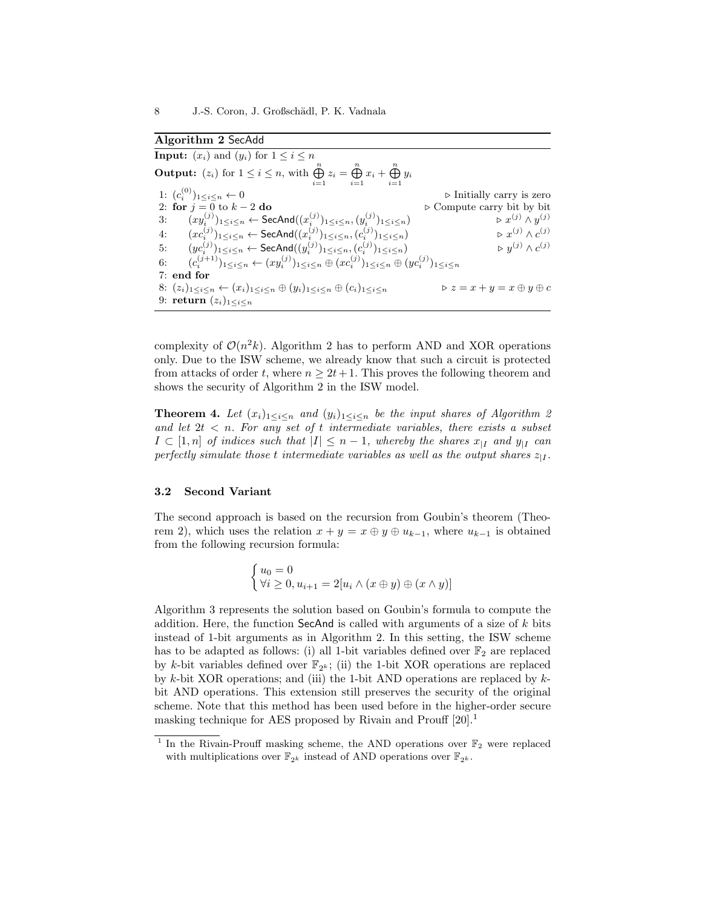Algorithm 2 SecAdd

**Input:**  $(x_i)$  and  $(y_i)$  for  $1 \leq i \leq n$ **Output:**  $(z_i)$  for  $1 \leq i \leq n$ , with  $\bigoplus_{i=1}^{n} z_i = \bigoplus_{i=1}^{n} x_i + \bigoplus_{i=1}^{n} y_i$ 1:  $(c_i^{(0)}$ 1:  $(c_i^{(0)})_{1 \le i \le n} \leftarrow 0$   $\triangleright$  Initially carry is zero  $\triangleright$  Compute carry bit by bit 2: for  $j = 0$  to  $k - 2$  do .  $\triangleright$  Compute carry bit by bit 3:  $(xy_i^{(j)})_{1 \leq i \leq n} \leftarrow \textsf{SecAnd}((x_i^{(j)})_{1 \leq i \leq n}, (y_i^{(j)})_{1 \leq i \leq n})$   $\qquad \qquad \triangleright x^{(j)} \wedge y$  $\triangleright x^{(j)} \wedge y^{(j)}$ 4:  $(xc_i^{(j)})_{1 \leq i \leq n}$  ← SecAnd $((x_i^{(j)})_{1 \leq i \leq n}, (c_i^{(j)})_{1 \leq i \leq n})$  ⊳  $x^{(j)} \wedge c$  $\triangleright x^{(j)} \wedge c^{(j)}$ 5:  $(y c_i^{(j)})_{1 \le i \le n} \leftarrow \textsf{SecAnd}((y_i^{(j)})_{1 \le i \le n}, (c_i^{(j)})_{1 \le i \le n}) \qquad \qquad \triangleright y^{(j)} \wedge c$  $\triangleright$   $y^{(j)} \wedge c^{(j)}$ 6:  $(c_i^{(j+1)})_{1 \leq i \leq n} \leftarrow (xy_i^{(j)})_{1 \leq i \leq n} \oplus (xc_i^{(j)})_{1 \leq i \leq n} \oplus (yc_i^{(j)})_{1 \leq i \leq n}$ 7: end for 8:  $(z_i)_{1\leq i\leq n}$   $\leftarrow$   $(x_i)_{1\leq i\leq n}$   $\oplus$   $(y_i)_{1\leq i\leq n}$   $\oplus$   $(c_i)_{1\leq i\leq n}$   $\qquad \qquad$   $\triangleright$   $z = x + y = x \oplus y \oplus c$ 9: return  $(z_i)_{1 \leq i \leq n}$ 

complexity of  $\mathcal{O}(n^2k)$ . Algorithm 2 has to perform AND and XOR operations only. Due to the ISW scheme, we already know that such a circuit is protected from attacks of order t, where  $n \geq 2t+1$ . This proves the following theorem and shows the security of Algorithm 2 in the ISW model.

**Theorem 4.** Let  $(x_i)_{1\leq i \leq n}$  and  $(y_i)_{1\leq i \leq n}$  be the input shares of Algorithm 2 and let  $2t < n$ . For any set of t intermediate variables, there exists a subset  $I \subset [1,n]$  of indices such that  $|I| \leq n-1$ , whereby the shares  $x_{|I}$  and  $y_{|I}$  can perfectly simulate those t intermediate variables as well as the output shares  $z_{|I}$ .

## 3.2 Second Variant

The second approach is based on the recursion from Goubin's theorem (Theorem 2), which uses the relation  $x + y = x \oplus y \oplus u_{k-1}$ , where  $u_{k-1}$  is obtained from the following recursion formula:

$$
\begin{cases} u_0 = 0\\ \forall i \geq 0, u_{i+1} = 2[u_i \wedge (x \oplus y) \oplus (x \wedge y)] \end{cases}
$$

Algorithm 3 represents the solution based on Goubin's formula to compute the addition. Here, the function SecAnd is called with arguments of a size of  $k$  bits instead of 1-bit arguments as in Algorithm 2. In this setting, the ISW scheme has to be adapted as follows: (i) all 1-bit variables defined over  $\mathbb{F}_2$  are replaced by k-bit variables defined over  $\mathbb{F}_{2^k}$ ; (ii) the 1-bit XOR operations are replaced by k-bit XOR operations; and (iii) the 1-bit AND operations are replaced by  $k$ bit AND operations. This extension still preserves the security of the original scheme. Note that this method has been used before in the higher-order secure masking technique for AES proposed by Rivain and Prouff [20].<sup>1</sup>

<sup>&</sup>lt;sup>1</sup> In the Rivain-Prouff masking scheme, the AND operations over  $\mathbb{F}_2$  were replaced with multiplications over  $\mathbb{F}_{2^k}$  instead of AND operations over  $\mathbb{F}_{2^k}.$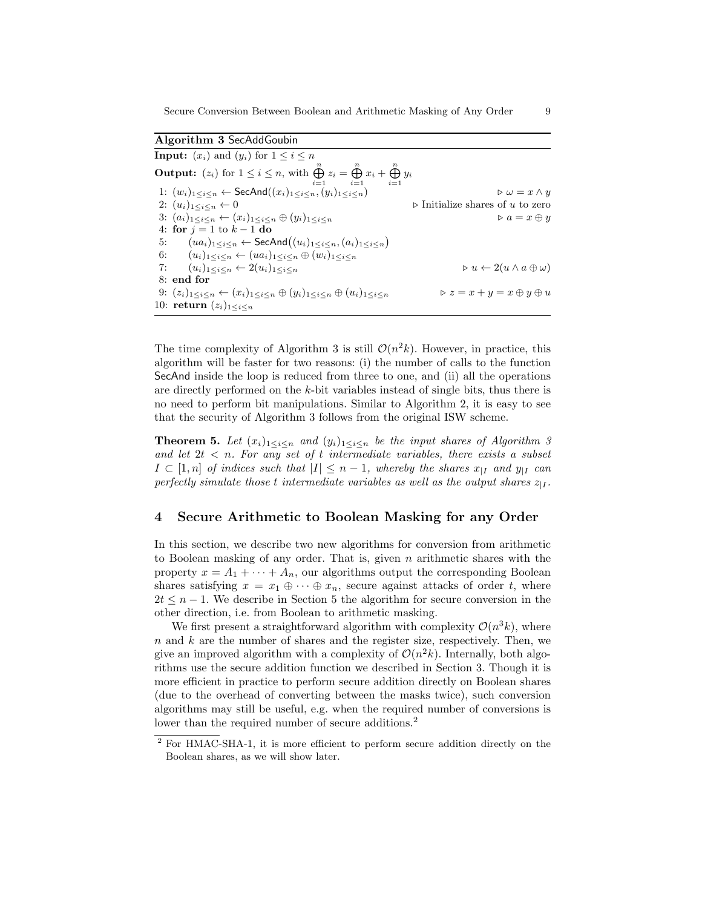Algorithm 3 SecAddGoubin **Input:**  $(x_i)$  and  $(y_i)$  for  $1 \leq i \leq n$ **Output:**  $(z_i)$  for  $1 \leq i \leq n$ , with  $\bigoplus_{i=1}^{n} z_i = \bigoplus_{i=1}^{n} x_i + \bigoplus_{i=1}^{n} y_i$ 1:  $(w_i)_{1 \leq i \leq n} \leftarrow \text{SecAnd}((x_i)_{1 \leq i \leq n}, (y_i)_{1 \leq i \leq n})$  .  $\downarrow$   $\rightarrow$   $\omega = x \wedge y$ 2:  $(u_i)_{1 \leq i \leq n} \leftarrow 0$  > Initialize shares of u to zero 3:  $(a_i)_{1 \leq i \leq n} \leftarrow (x_i)_{1 \leq i \leq n} \oplus (y_i)_{1 \leq i \leq n}$   $\triangleright a = x \oplus y$ 4: for  $j = 1$  to  $k - 1$  do 5:  $(ua_i)_{1 \leq i \leq n} \leftarrow \mathsf{SecAnd}\left((u_i)_{1 \leq i \leq n}, (a_i)_{1 \leq i \leq n}\right)$ 6:  $(u_i)_{1 \leq i \leq n} \leftarrow (ua_i)_{1 \leq i \leq n} \oplus (w_i)_{1 \leq i \leq n}$ 7:  $(u_i)_{1 \leq i \leq n} \leftarrow 2(u_i)_{1 \leq i \leq n}$   $\qquad \qquad \triangleright u \leftarrow 2(u \land a \oplus \omega)$ 8: end for 9:  $(z_i)_{1 \leq i \leq n} \leftarrow (x_i)_{1 \leq i \leq n} \oplus (y_i)_{1 \leq i \leq n} \oplus (u_i)_{1 \leq i \leq n}$   $\triangleright z = x + y = x \oplus y \oplus u$ 10: return  $(z_i)_{1 \leq i \leq n}$ 

The time complexity of Algorithm 3 is still  $\mathcal{O}(n^2k)$ . However, in practice, this algorithm will be faster for two reasons: (i) the number of calls to the function SecAnd inside the loop is reduced from three to one, and (ii) all the operations are directly performed on the k-bit variables instead of single bits, thus there is no need to perform bit manipulations. Similar to Algorithm 2, it is easy to see that the security of Algorithm 3 follows from the original ISW scheme.

**Theorem 5.** Let  $(x_i)_{1 \leq i \leq n}$  and  $(y_i)_{1 \leq i \leq n}$  be the input shares of Algorithm 3 and let  $2t < n$ . For any set of t intermediate variables, there exists a subset  $I \subset [1,n]$  of indices such that  $|I| \leq n-1$ , whereby the shares  $x_{|I}$  and  $y_{|I}$  can perfectly simulate those t intermediate variables as well as the output shares  $z_{|I}$ .

# 4 Secure Arithmetic to Boolean Masking for any Order

In this section, we describe two new algorithms for conversion from arithmetic to Boolean masking of any order. That is, given  $n$  arithmetic shares with the property  $x = A_1 + \cdots + A_n$ , our algorithms output the corresponding Boolean shares satisfying  $x = x_1 \oplus \cdots \oplus x_n$ , secure against attacks of order t, where  $2t \leq n-1$ . We describe in Section 5 the algorithm for secure conversion in the other direction, i.e. from Boolean to arithmetic masking.

We first present a straightforward algorithm with complexity  $\mathcal{O}(n^3k)$ , where  $n$  and  $k$  are the number of shares and the register size, respectively. Then, we give an improved algorithm with a complexity of  $\mathcal{O}(n^2k)$ . Internally, both algorithms use the secure addition function we described in Section 3. Though it is more efficient in practice to perform secure addition directly on Boolean shares (due to the overhead of converting between the masks twice), such conversion algorithms may still be useful, e.g. when the required number of conversions is lower than the required number of secure additions.<sup>2</sup>

<sup>2</sup> For HMAC-SHA-1, it is more efficient to perform secure addition directly on the Boolean shares, as we will show later.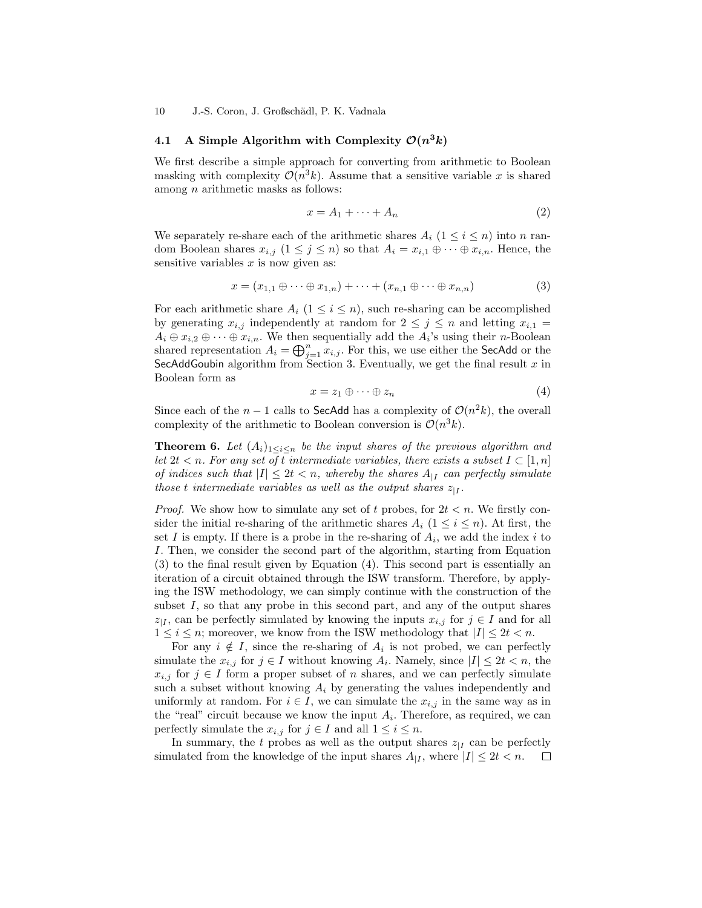10 J.-S. Coron, J. Großschädl, P. K. Vadnala

# 4.1 A Simple Algorithm with Complexity  $\mathcal{O}(n^3k)$

We first describe a simple approach for converting from arithmetic to Boolean masking with complexity  $\mathcal{O}(n^3k)$ . Assume that a sensitive variable x is shared among  $n$  arithmetic masks as follows:

$$
x = A_1 + \dots + A_n \tag{2}
$$

We separately re-share each of the arithmetic shares  $A_i$  ( $1 \leq i \leq n$ ) into n random Boolean shares  $x_{i,j}$   $(1 \leq j \leq n)$  so that  $A_i = x_{i,1} \oplus \cdots \oplus x_{i,n}$ . Hence, the sensitive variables  $x$  is now given as:

$$
x = (x_{1,1} \oplus \cdots \oplus x_{1,n}) + \cdots + (x_{n,1} \oplus \cdots \oplus x_{n,n})
$$
\n
$$
(3)
$$

For each arithmetic share  $A_i$   $(1 \leq i \leq n)$ , such re-sharing can be accomplished by generating  $x_{i,j}$  independently at random for  $2 \leq j \leq n$  and letting  $x_{i,1} =$  $A_i \oplus x_{i,2} \oplus \cdots \oplus x_{i,n}$ . We then sequentially add the  $A_i$ 's using their *n*-Boolean shared representation  $A_i = \bigoplus_{j=1}^n x_{i,j}$ . For this, we use either the SecAdd or the SecAddGoubin algorithm from Section 3. Eventually, we get the final result  $x$  in Boolean form as

$$
x = z_1 \oplus \cdots \oplus z_n \tag{4}
$$

Since each of the  $n-1$  calls to SecAdd has a complexity of  $\mathcal{O}(n^2k)$ , the overall complexity of the arithmetic to Boolean conversion is  $\mathcal{O}(n^3k)$ .

**Theorem 6.** Let  $(A_i)_{1 \leq i \leq n}$  be the input shares of the previous algorithm and let  $2t < n$ . For any set of t intermediate variables, there exists a subset  $I \subset [1,n]$ of indices such that  $|I| \leq 2t < n$ , whereby the shares  $A_{|I|}$  can perfectly simulate those t intermediate variables as well as the output shares  $z_{|I}$ .

*Proof.* We show how to simulate any set of t probes, for  $2t < n$ . We firstly consider the initial re-sharing of the arithmetic shares  $A_i$  ( $1 \leq i \leq n$ ). At first, the set I is empty. If there is a probe in the re-sharing of  $A_i$ , we add the index i to I. Then, we consider the second part of the algorithm, starting from Equation (3) to the final result given by Equation (4). This second part is essentially an iteration of a circuit obtained through the ISW transform. Therefore, by applying the ISW methodology, we can simply continue with the construction of the subset  $I$ , so that any probe in this second part, and any of the output shares  $z_{|I}$ , can be perfectly simulated by knowing the inputs  $x_{i,j}$  for  $j \in I$  and for all  $1 \leq i \leq n$ ; moreover, we know from the ISW methodology that  $|I| \leq 2t < n$ .

For any  $i \notin I$ , since the re-sharing of  $A_i$  is not probed, we can perfectly simulate the  $x_{i,j}$  for  $j \in I$  without knowing  $A_i$ . Namely, since  $|I| \leq 2t < n$ , the  $x_{i,j}$  for  $j \in I$  form a proper subset of n shares, and we can perfectly simulate such a subset without knowing  $A_i$  by generating the values independently and uniformly at random. For  $i \in I$ , we can simulate the  $x_{i,j}$  in the same way as in the "real" circuit because we know the input  $A_i$ . Therefore, as required, we can perfectly simulate the  $x_{i,j}$  for  $j \in I$  and all  $1 \leq i \leq n$ .

In summary, the t probes as well as the output shares  $z_{\parallel I}$  can be perfectly simulated from the knowledge of the input shares  $A_{|I}$ , where  $|I| \leq 2t < n$ .  $\Box$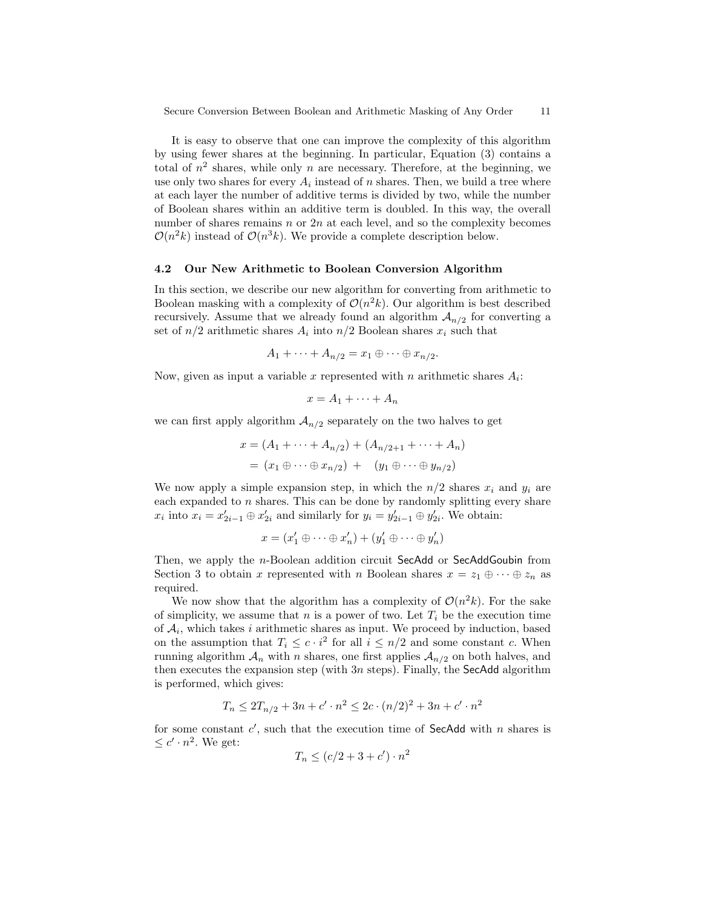It is easy to observe that one can improve the complexity of this algorithm by using fewer shares at the beginning. In particular, Equation (3) contains a total of  $n^2$  shares, while only n are necessary. Therefore, at the beginning, we use only two shares for every  $A_i$  instead of n shares. Then, we build a tree where at each layer the number of additive terms is divided by two, while the number of Boolean shares within an additive term is doubled. In this way, the overall number of shares remains  $n \text{ or } 2n$  at each level, and so the complexity becomes  $\mathcal{O}(n^2k)$  instead of  $\mathcal{O}(n^3k)$ . We provide a complete description below.

#### 4.2 Our New Arithmetic to Boolean Conversion Algorithm

In this section, we describe our new algorithm for converting from arithmetic to Boolean masking with a complexity of  $\mathcal{O}(n^2k)$ . Our algorithm is best described recursively. Assume that we already found an algorithm  $A_{n/2}$  for converting a set of  $n/2$  arithmetic shares  $A_i$  into  $n/2$  Boolean shares  $x_i$  such that

$$
A_1 + \cdots + A_{n/2} = x_1 \oplus \cdots \oplus x_{n/2}.
$$

Now, given as input a variable x represented with n arithmetic shares  $A_i$ :

$$
x = A_1 + \dots + A_n
$$

we can first apply algorithm  $A_{n/2}$  separately on the two halves to get

$$
x = (A_1 + \dots + A_{n/2}) + (A_{n/2+1} + \dots + A_n)
$$
  
=  $(x_1 \oplus \dots \oplus x_{n/2}) + (y_1 \oplus \dots \oplus y_{n/2})$ 

We now apply a simple expansion step, in which the  $n/2$  shares  $x_i$  and  $y_i$  are each expanded to  $n$  shares. This can be done by randomly splitting every share  $x_i$  into  $x_i = x'_{2i-1} \oplus x'_{2i}$  and similarly for  $y_i = y'_{2i-1} \oplus y'_{2i}$ . We obtain:

$$
x = (x'_1 \oplus \cdots \oplus x'_n) + (y'_1 \oplus \cdots \oplus y'_n)
$$

Then, we apply the *n*-Boolean addition circuit SecAdd or SecAddGoubin from Section 3 to obtain x represented with n Boolean shares  $x = z_1 \oplus \cdots \oplus z_n$  as required.

We now show that the algorithm has a complexity of  $\mathcal{O}(n^2k)$ . For the sake of simplicity, we assume that n is a power of two. Let  $T_i$  be the execution time of  $A_i$ , which takes i arithmetic shares as input. We proceed by induction, based on the assumption that  $T_i \leq c \cdot i^2$  for all  $i \leq n/2$  and some constant c. When running algorithm  $A_n$  with n shares, one first applies  $A_{n/2}$  on both halves, and then executes the expansion step (with  $3n$  steps). Finally, the SecAdd algorithm is performed, which gives:

$$
T_n \le 2T_{n/2} + 3n + c' \cdot n^2 \le 2c \cdot (n/2)^2 + 3n + c' \cdot n^2
$$

for some constant  $c'$ , such that the execution time of SecAdd with n shares is  $\leq c' \cdot n^2$ . We get:

$$
T_n \le (c/2 + 3 + c') \cdot n^2
$$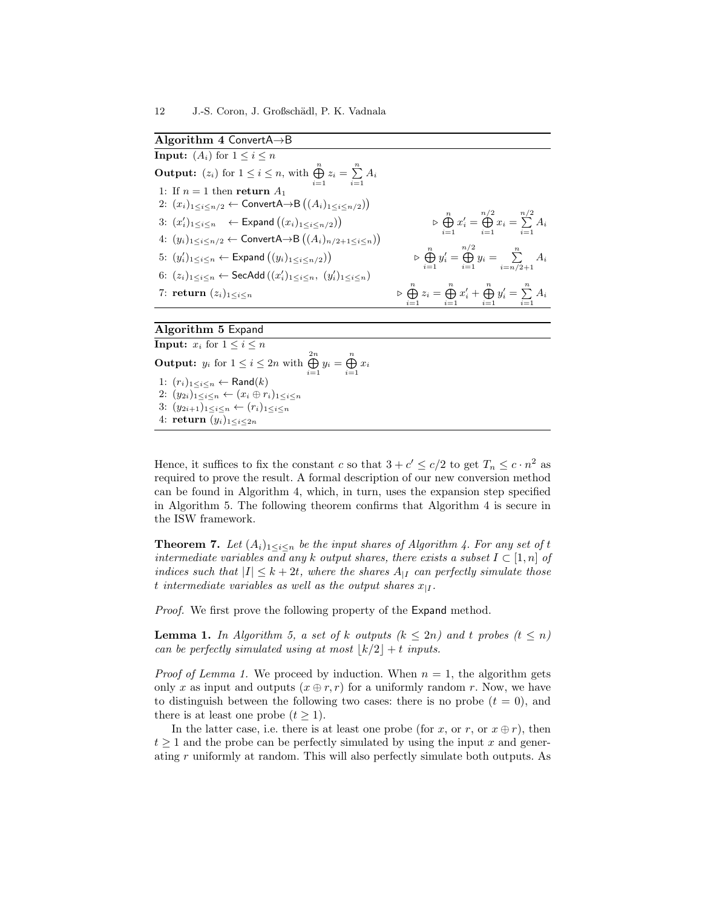Algorithm 4 ConvertA→B **Input:**  $(A_i)$  for  $1 \leq i \leq n$ **Output:**  $(z_i)$  for  $1 \leq i \leq n$ , with  $\bigoplus_{i=1}^{n} z_i = \sum_{i=1}^{n} A_i$ 1: If  $n = 1$  then return  $A_1$ 2:  $(x_i)_{1 \leq i \leq n/2}$  ← ConvertA→B  $((A_i)_{1 \leq i \leq n/2})$ 3:  $(x'_i)_{1 \leq i \leq n}$   $\leftarrow$  Expand  $((x_i)_{1 \leq i \leq n/2})$  $\triangleright \bigoplus_{i=1}^{n} x'_{i} = \bigoplus_{i=1}^{n/2} x_{i} = \sum_{i=1}^{n/2} A_{i}$ 4:  $(y_i)_{1 \leq i \leq n/2}$  ← ConvertA→B  $((A_i)_{n/2+1 \leq i \leq n})$ 5:  $(y'_i)_{1 \leq i \leq n} \leftarrow \textsf{Expand}((y_i)_{1 \leq i \leq n/2})$  $\triangleright \bigoplus_{i=1}^{n} y'_{i} = \bigoplus_{i=1}^{n/2} y_{i} = \sum_{i=n/2+1}^{n} A_{i}$ 6:  $(z_i)_{1 \leq i \leq n} \leftarrow \mathsf{SecAdd}\left((x'_i)_{1 \leq i \leq n}, (y'_i)_{1 \leq i \leq n}\right)$ 7: return  $(z_i)_{1 \leq i \leq n}$  $\bigoplus_{i=1}^{n} z_i = \bigoplus_{i=1}^{n} x'_i + \bigoplus_{i=1}^{n} y'_i = \sum_{i=1}^{n} A_i$ 

#### Algorithm 5 Expand

**Input:**  $x_i$  for  $1 \leq i \leq n$ **Output:**  $y_i$  for  $1 \le i \le 2n$  with  $\bigoplus_{i=1}^{2n} y_i = \bigoplus_{i=1}^n x_i$ 1:  $(r_i)_{1 \leq i \leq n} \leftarrow \textsf{Rand}(k)$ 2:  $(y_{2i})_{1 \leq i \leq n} \leftarrow (x_i \oplus r_i)_{1 \leq i \leq n}$ 3:  $(y_{2i+1})_{1 \leq i \leq n}$  ←  $(r_i)_{1 \leq i \leq n}$ 4: return  $(y_i)_{1 \leq i \leq 2n}$ 

Hence, it suffices to fix the constant c so that  $3 + c' \leq c/2$  to get  $T_n \leq c \cdot n^2$  as required to prove the result. A formal description of our new conversion method can be found in Algorithm 4, which, in turn, uses the expansion step specified in Algorithm 5. The following theorem confirms that Algorithm 4 is secure in the ISW framework.

**Theorem 7.** Let  $(A_i)_{1 \leq i \leq n}$  be the input shares of Algorithm 4. For any set of t intermediate variables and any k output shares, there exists a subset  $I \subset [1,n]$  of indices such that  $|I| \leq k + 2t$ , where the shares  $A_{|I|}$  can perfectly simulate those t intermediate variables as well as the output shares  $x_{|I}$ .

Proof. We first prove the following property of the Expand method.

**Lemma 1.** In Algorithm 5, a set of k outputs  $(k \leq 2n)$  and t probes  $(t \leq n)$ can be perfectly simulated using at most  $\lfloor k/2 \rfloor + t$  inputs.

*Proof of Lemma 1.* We proceed by induction. When  $n = 1$ , the algorithm gets only x as input and outputs  $(x \oplus r, r)$  for a uniformly random r. Now, we have to distinguish between the following two cases: there is no probe  $(t = 0)$ , and there is at least one probe  $(t > 1)$ .

In the latter case, i.e. there is at least one probe (for x, or r, or  $x \oplus r$ ), then  $t \geq 1$  and the probe can be perfectly simulated by using the input x and generating r uniformly at random. This will also perfectly simulate both outputs. As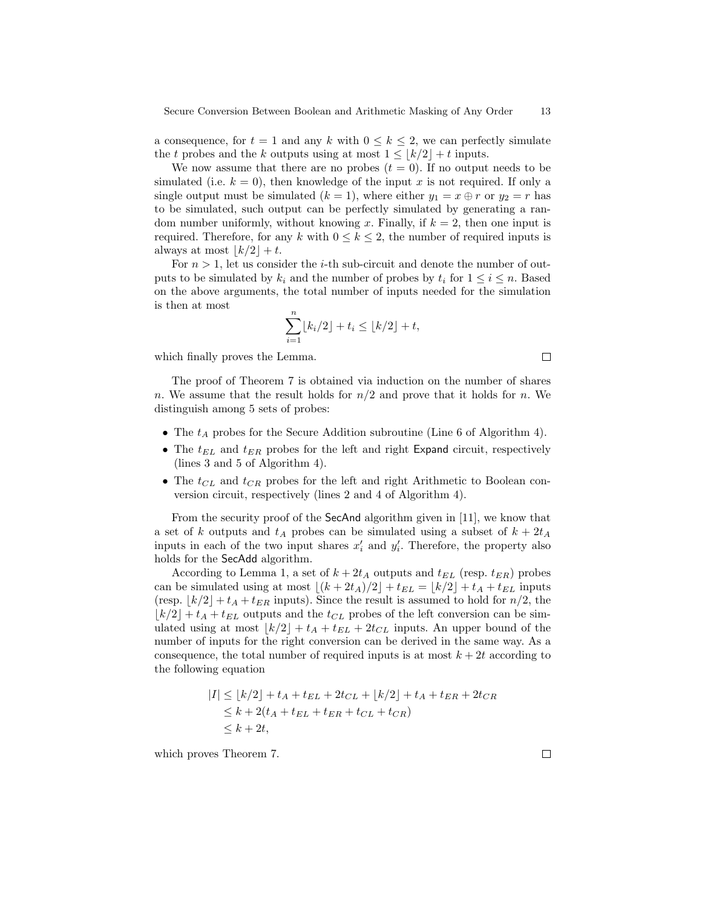a consequence, for  $t = 1$  and any k with  $0 \leq k \leq 2$ , we can perfectly simulate the t probes and the k outputs using at most  $1 \leq \lfloor k/2 \rfloor + t$  inputs.

We now assume that there are no probes  $(t = 0)$ . If no output needs to be simulated (i.e.  $k = 0$ ), then knowledge of the input x is not required. If only a single output must be simulated  $(k = 1)$ , where either  $y_1 = x \oplus r$  or  $y_2 = r$  has to be simulated, such output can be perfectly simulated by generating a random number uniformly, without knowing x. Finally, if  $k = 2$ , then one input is required. Therefore, for any k with  $0 \leq k \leq 2$ , the number of required inputs is always at most  $\lfloor k/2 \rfloor + t$ .

For  $n > 1$ , let us consider the *i*-th sub-circuit and denote the number of outputs to be simulated by  $k_i$  and the number of probes by  $t_i$  for  $1 \leq i \leq n$ . Based on the above arguments, the total number of inputs needed for the simulation is then at most

$$
\sum_{i=1}^{n} \lfloor k_i/2 \rfloor + t_i \le \lfloor k/2 \rfloor + t,
$$

which finally proves the Lemma.

The proof of Theorem 7 is obtained via induction on the number of shares n. We assume that the result holds for  $n/2$  and prove that it holds for n. We distinguish among 5 sets of probes:

- The  $t_A$  probes for the Secure Addition subroutine (Line 6 of Algorithm 4).
- The  $t_{EL}$  and  $t_{ER}$  probes for the left and right Expand circuit, respectively (lines 3 and 5 of Algorithm 4).
- The  $t_{CL}$  and  $t_{CR}$  probes for the left and right Arithmetic to Boolean conversion circuit, respectively (lines 2 and 4 of Algorithm 4).

From the security proof of the SecAnd algorithm given in [11], we know that a set of k outputs and  $t_A$  probes can be simulated using a subset of  $k + 2t_A$ inputs in each of the two input shares  $x_i'$  and  $y_i'$ . Therefore, the property also holds for the SecAdd algorithm.

According to Lemma 1, a set of  $k + 2t_A$  outputs and  $t_{EL}$  (resp.  $t_{ER}$ ) probes can be simulated using at most  $\lfloor (k + 2t_A)/2 \rfloor + t_{EL} = \lfloor k/2 \rfloor + t_A + t_{EL}$  inputs (resp.  $|k/2| + t_A + t_{ER}$  inputs). Since the result is assumed to hold for  $n/2$ , the  $|k/2| + t_A + t_{EL}$  outputs and the  $t_{CL}$  probes of the left conversion can be simulated using at most  $|k/2| + t_A + t_{EL} + 2t_{CL}$  inputs. An upper bound of the number of inputs for the right conversion can be derived in the same way. As a consequence, the total number of required inputs is at most  $k + 2t$  according to the following equation

$$
|I| \leq \lfloor k/2 \rfloor + t_A + t_{EL} + 2t_{CL} + \lfloor k/2 \rfloor + t_A + t_{ER} + 2t_{CR}
$$
  
\n
$$
\leq k + 2(t_A + t_{EL} + t_{ER} + t_{CL} + t_{CR})
$$
  
\n
$$
\leq k + 2t,
$$

which proves Theorem 7.

 $\Box$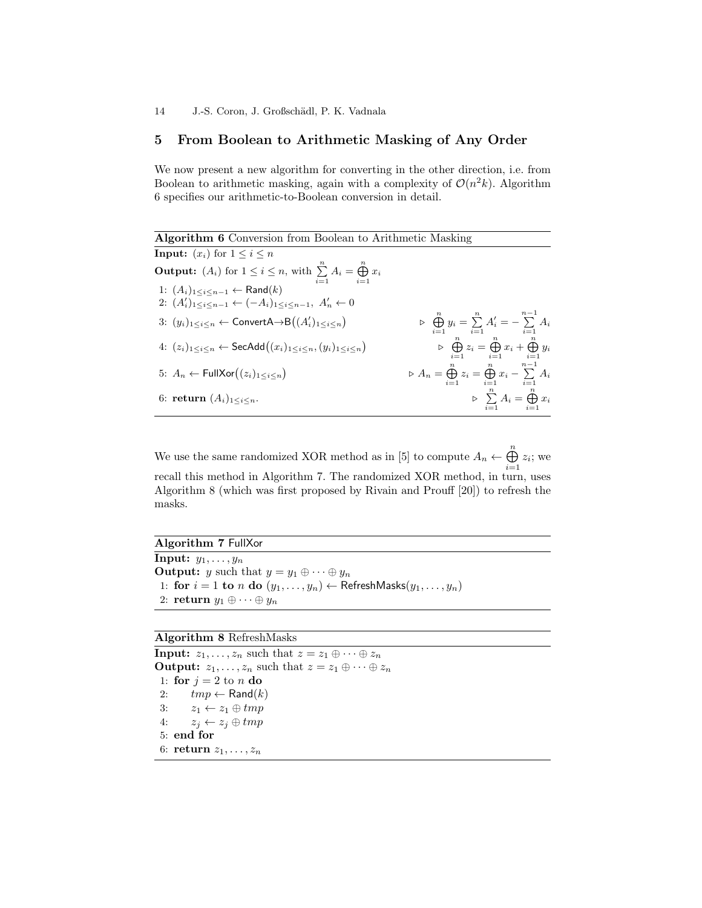# 5 From Boolean to Arithmetic Masking of Any Order

We now present a new algorithm for converting in the other direction, i.e. from Boolean to arithmetic masking, again with a complexity of  $\mathcal{O}(n^2k)$ . Algorithm 6 specifies our arithmetic-to-Boolean conversion in detail.

Algorithm 6 Conversion from Boolean to Arithmetic Masking **Input:**  $(x_i)$  for  $1 \leq i \leq n$ **Output:**  $(A_i)$  for  $1 \leq i \leq n$ , with  $\sum_{i=1}^{n} A_i = \bigoplus_{i=1}^{n} x_i$ 1:  $(A_i)_{1 \leq i \leq n-1}$  ← Rand $(k)$ 2:  $(A'_i)_{1 \leq i \leq n-1} \leftarrow (-A_i)_{1 \leq i \leq n-1}, A'_n \leftarrow 0$ 3:  $(y_i)_{1 \leq i \leq n}$  ← ConvertA→B $((A'_i)_{1 \leq i \leq n})$  $\varphi \bigoplus_{i=1}^n y_i = \sum_{i=1}^n A'_i = -\sum_{i=1}^{n-1} A_i$ 4:  $(z_i)_{1 \leq i \leq n}$  ← SecAdd $((x_i)_{1 \leq i \leq n}, (y_i)_{1 \leq i \leq n})$  $\varphi \bigoplus_{i=1}^n z_i = \bigoplus_{i=1}^n x_i + \bigoplus_{i=1}^n y_i$ 5:  $A_n \leftarrow \text{FullXor}((z_i)_{1 \leq i \leq n})$  $\triangleright A_n = \bigoplus_{i=1}^n z_i = \bigoplus_{i=1}^n x_i - \sum_{i=1}^{n-1} A_i$ 6: return  $(A_i)_{1 \leq i \leq n}$ .  $\sum_{i=1}^n A_i = \bigoplus_{i=1}^n x_i$ 

We use the same randomized XOR method as in [5] to compute  $A_n \leftarrow \bigoplus^n$  $\bigoplus_{i=1} z_i$ ; we recall this method in Algorithm 7. The randomized XOR method, in turn, uses Algorithm 8 (which was first proposed by Rivain and Prouff [20]) to refresh the masks.

Algorithm 7 FullXor **Input:**  $y_1, \ldots, y_n$ **Output:** y such that  $y = y_1 \oplus \cdots \oplus y_n$ 1: for  $i = 1$  to n do  $(y_1, \ldots, y_n) \leftarrow$  RefreshMasks $(y_1, \ldots, y_n)$ 2: return  $y_1 \oplus \cdots \oplus y_n$ 

#### Algorithm 8 RefreshMasks

**Input:**  $z_1, \ldots, z_n$  such that  $z = z_1 \oplus \cdots \oplus z_n$ **Output:**  $z_1, \ldots, z_n$  such that  $z = z_1 \oplus \cdots \oplus z_n$ 1: for  $j = 2$  to n do 2:  $tmp \leftarrow \text{Rand}(k)$ 3:  $z_1 \leftarrow z_1 \oplus tmp$ 4:  $z_j \leftarrow z_j \oplus tmp$ 5: end for 6: return  $z_1, \ldots, z_n$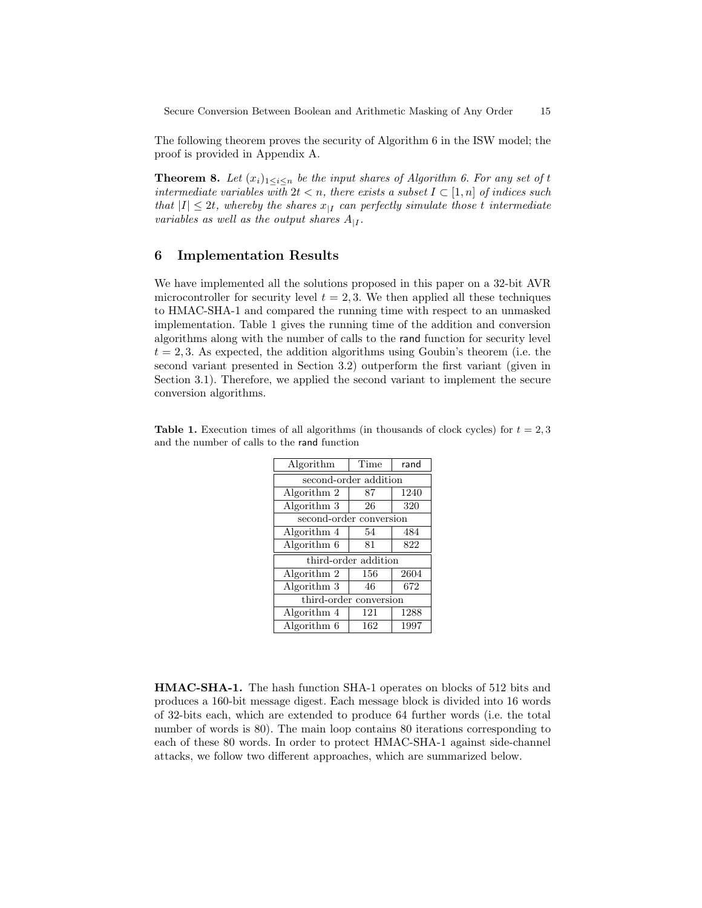The following theorem proves the security of Algorithm 6 in the ISW model; the proof is provided in Appendix A.

**Theorem 8.** Let  $(x_i)_{1\leq i\leq n}$  be the input shares of Algorithm 6. For any set of t intermediate variables with  $2t < n$ , there exists a subset  $I \subset [1,n]$  of indices such that  $|I| \leq 2t$ , whereby the shares  $x_{|I}$  can perfectly simulate those t intermediate variables as well as the output shares  $A_{|I}$ .

# 6 Implementation Results

We have implemented all the solutions proposed in this paper on a 32-bit AVR microcontroller for security level  $t = 2, 3$ . We then applied all these techniques to HMAC-SHA-1 and compared the running time with respect to an unmasked implementation. Table 1 gives the running time of the addition and conversion algorithms along with the number of calls to the rand function for security level  $t = 2, 3$ . As expected, the addition algorithms using Goubin's theorem (i.e. the second variant presented in Section 3.2) outperform the first variant (given in Section 3.1). Therefore, we applied the second variant to implement the secure conversion algorithms.

**Table 1.** Execution times of all algorithms (in thousands of clock cycles) for  $t = 2, 3$ and the number of calls to the rand function

| Algorithm                       | Time | rand |  |
|---------------------------------|------|------|--|
| second-order addition           |      |      |  |
| Algorithm 2                     | 87   | 1240 |  |
| Algorithm 3                     | 26   | 320  |  |
| second-order conversion         |      |      |  |
| Algorithm 4                     | 54   | 484  |  |
| $\overline{\text{Algorithm}}$ 6 | 81   | 822  |  |
| third-order addition            |      |      |  |
| Algorithm 2                     | 156  | 2604 |  |
| $\overline{\text{Algorithm}}$ 3 | 46   | 672  |  |
| third-order conversion          |      |      |  |
| Algorithm 4                     | 121  | 1288 |  |
| Algorithm 6                     | 162  | 1997 |  |

HMAC-SHA-1. The hash function SHA-1 operates on blocks of 512 bits and produces a 160-bit message digest. Each message block is divided into 16 words of 32-bits each, which are extended to produce 64 further words (i.e. the total number of words is 80). The main loop contains 80 iterations corresponding to each of these 80 words. In order to protect HMAC-SHA-1 against side-channel attacks, we follow two different approaches, which are summarized below.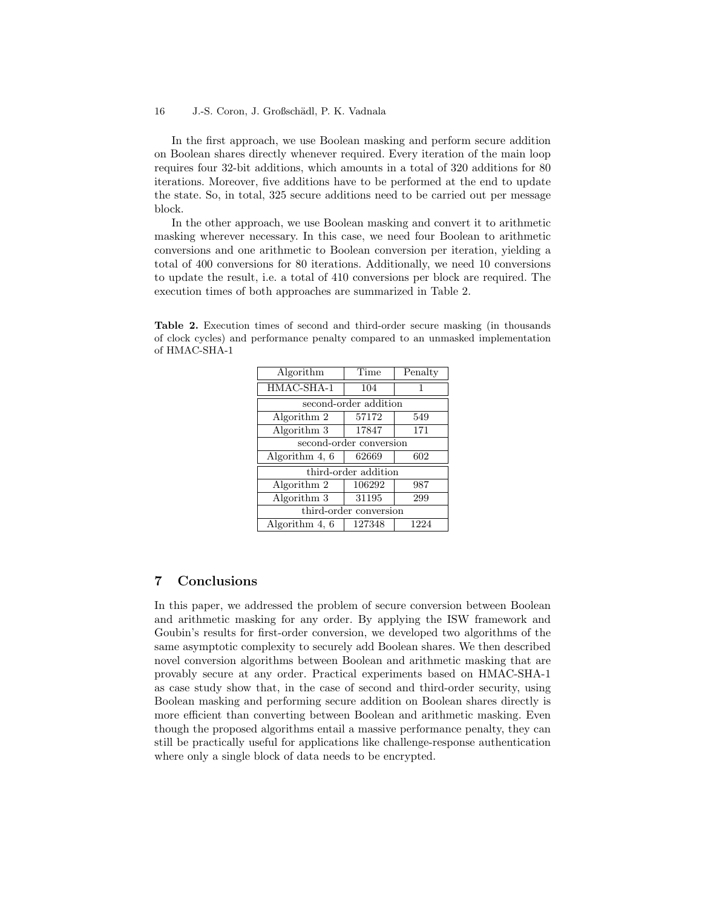#### 16 J.-S. Coron, J. Großschädl, P. K. Vadnala

In the first approach, we use Boolean masking and perform secure addition on Boolean shares directly whenever required. Every iteration of the main loop requires four 32-bit additions, which amounts in a total of 320 additions for 80 iterations. Moreover, five additions have to be performed at the end to update the state. So, in total, 325 secure additions need to be carried out per message block.

In the other approach, we use Boolean masking and convert it to arithmetic masking wherever necessary. In this case, we need four Boolean to arithmetic conversions and one arithmetic to Boolean conversion per iteration, yielding a total of 400 conversions for 80 iterations. Additionally, we need 10 conversions to update the result, i.e. a total of 410 conversions per block are required. The execution times of both approaches are summarized in Table 2.

Table 2. Execution times of second and third-order secure masking (in thousands of clock cycles) and performance penalty compared to an unmasked implementation of HMAC-SHA-1

| Algorithm               | Time   | Penalty |  |
|-------------------------|--------|---------|--|
| HMAC-SHA-1              | 104    | 1       |  |
| second-order addition   |        |         |  |
| Algorithm 2             | 57172  | 549     |  |
| Algorithm 3             | 17847  | 171     |  |
| second-order conversion |        |         |  |
| Algorithm 4, 6          | 62669  | 602     |  |
| third-order addition    |        |         |  |
| Algorithm 2             | 106292 | 987     |  |
| Algorithm 3             | 31195  | 299     |  |
| third-order conversion  |        |         |  |
| Algorithm 4, 6          | 127348 | 1224    |  |

# 7 Conclusions

In this paper, we addressed the problem of secure conversion between Boolean and arithmetic masking for any order. By applying the ISW framework and Goubin's results for first-order conversion, we developed two algorithms of the same asymptotic complexity to securely add Boolean shares. We then described novel conversion algorithms between Boolean and arithmetic masking that are provably secure at any order. Practical experiments based on HMAC-SHA-1 as case study show that, in the case of second and third-order security, using Boolean masking and performing secure addition on Boolean shares directly is more efficient than converting between Boolean and arithmetic masking. Even though the proposed algorithms entail a massive performance penalty, they can still be practically useful for applications like challenge-response authentication where only a single block of data needs to be encrypted.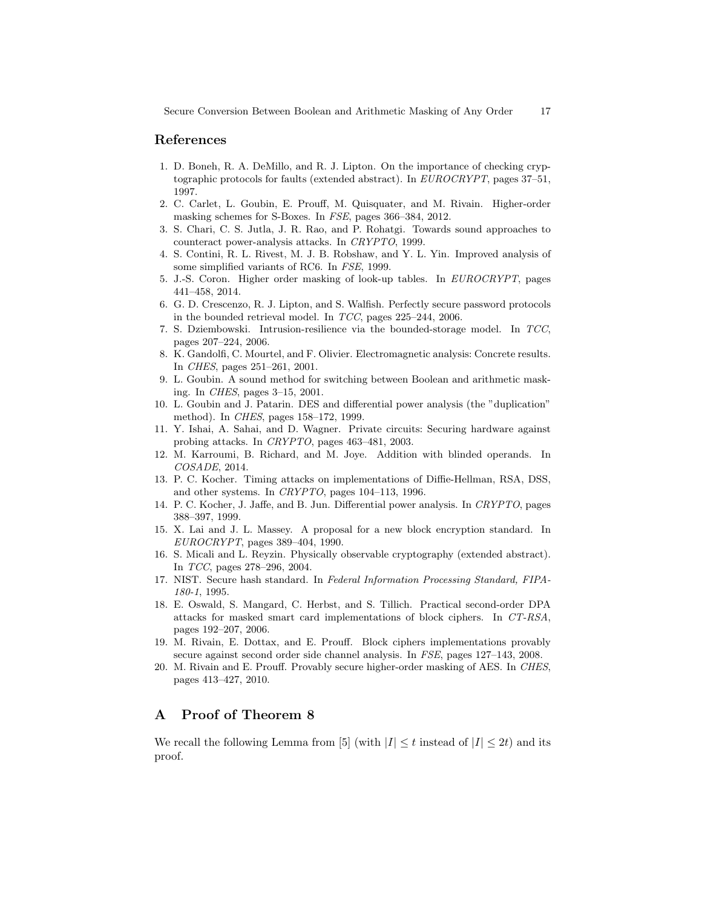## References

- 1. D. Boneh, R. A. DeMillo, and R. J. Lipton. On the importance of checking cryptographic protocols for faults (extended abstract). In EUROCRYPT, pages 37–51, 1997.
- 2. C. Carlet, L. Goubin, E. Prouff, M. Quisquater, and M. Rivain. Higher-order masking schemes for S-Boxes. In FSE, pages 366–384, 2012.
- 3. S. Chari, C. S. Jutla, J. R. Rao, and P. Rohatgi. Towards sound approaches to counteract power-analysis attacks. In CRYPTO, 1999.
- 4. S. Contini, R. L. Rivest, M. J. B. Robshaw, and Y. L. Yin. Improved analysis of some simplified variants of RC6. In FSE, 1999.
- 5. J.-S. Coron. Higher order masking of look-up tables. In EUROCRYPT, pages 441–458, 2014.
- 6. G. D. Crescenzo, R. J. Lipton, and S. Walfish. Perfectly secure password protocols in the bounded retrieval model. In TCC, pages 225–244, 2006.
- 7. S. Dziembowski. Intrusion-resilience via the bounded-storage model. In TCC, pages 207–224, 2006.
- 8. K. Gandolfi, C. Mourtel, and F. Olivier. Electromagnetic analysis: Concrete results. In CHES, pages 251–261, 2001.
- 9. L. Goubin. A sound method for switching between Boolean and arithmetic masking. In CHES, pages 3–15, 2001.
- 10. L. Goubin and J. Patarin. DES and differential power analysis (the "duplication" method). In CHES, pages 158–172, 1999.
- 11. Y. Ishai, A. Sahai, and D. Wagner. Private circuits: Securing hardware against probing attacks. In CRYPTO, pages 463–481, 2003.
- 12. M. Karroumi, B. Richard, and M. Joye. Addition with blinded operands. In COSADE, 2014.
- 13. P. C. Kocher. Timing attacks on implementations of Diffie-Hellman, RSA, DSS, and other systems. In CRYPTO, pages 104–113, 1996.
- 14. P. C. Kocher, J. Jaffe, and B. Jun. Differential power analysis. In CRYPTO, pages 388–397, 1999.
- 15. X. Lai and J. L. Massey. A proposal for a new block encryption standard. In EUROCRYPT, pages 389–404, 1990.
- 16. S. Micali and L. Reyzin. Physically observable cryptography (extended abstract). In TCC, pages 278–296, 2004.
- 17. NIST. Secure hash standard. In Federal Information Processing Standard, FIPA-180-1, 1995.
- 18. E. Oswald, S. Mangard, C. Herbst, and S. Tillich. Practical second-order DPA attacks for masked smart card implementations of block ciphers. In CT-RSA, pages 192–207, 2006.
- 19. M. Rivain, E. Dottax, and E. Prouff. Block ciphers implementations provably secure against second order side channel analysis. In FSE, pages 127–143, 2008.
- 20. M. Rivain and E. Prouff. Provably secure higher-order masking of AES. In CHES, pages 413–427, 2010.

# A Proof of Theorem 8

We recall the following Lemma from [5] (with  $|I| \leq t$  instead of  $|I| \leq 2t$ ) and its proof.